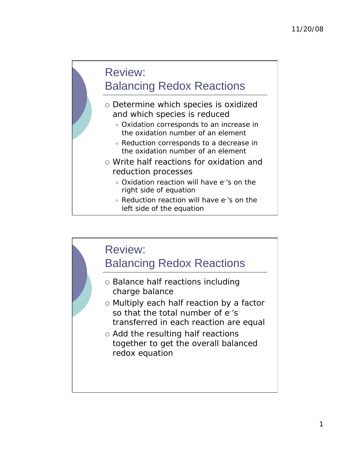# Review: Balancing Redox Reactions

- o Determine which species is oxidized and which species is reduced
	- Oxidation corresponds to an increase in the oxidation number of an element
	- Reduction corresponds to a decrease in the oxidation number of an element
- o Write half reactions for oxidation and reduction processes
	- Oxidation reaction will have e-'s on the right side of equation
	- Reduction reaction will have e-'s on the left side of the equation

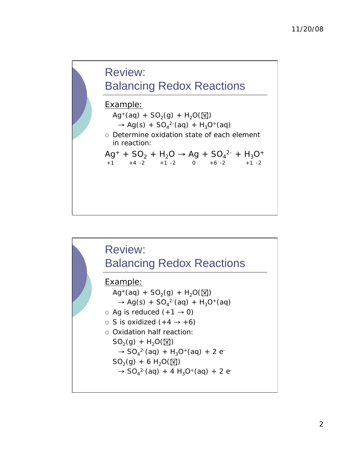

 $+1$   $+4$  -2  $+1$  -2 0  $+6$  -2  $+1$  -2

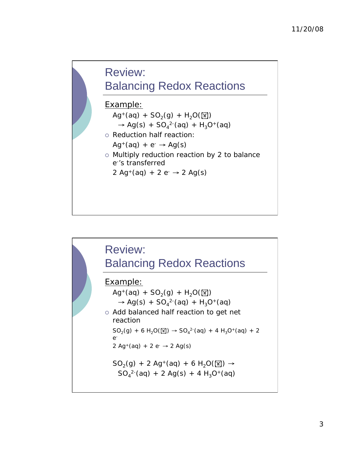## Review: Balancing Redox Reactions

#### Example:

- $Ag^{+}(aq) + SO_{2}(q) + H_{2}O(\sqrt{N})$  $\rightarrow$  Ag(s) + SO<sub>4</sub><sup>2-</sup>(aq) + H<sub>3</sub>O<sup>+</sup>(aq)
- o Reduction half reaction:  $Ag^+(aq) + e^- \rightarrow Ag(s)$
- Multiply reduction reaction by 2 to balance e-'s transferred
	- 2 Ag<sup>+</sup>(ag) + 2 e<sup>-</sup>  $\rightarrow$  2 Ag(s)

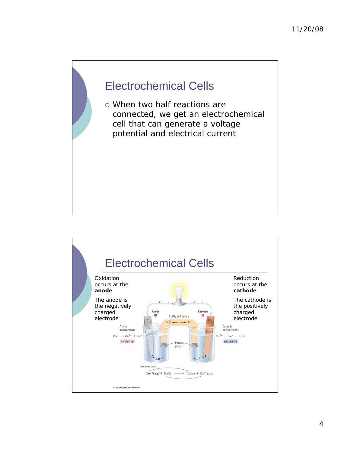## Electrochemical Cells

 When two half reactions are connected, we get an electrochemical cell that can generate a voltage potential and electrical current

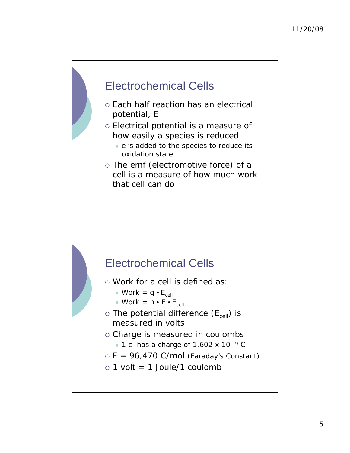

- o Each half reaction has an electrical potential, E
- Electrical potential is a measure of how easily a species is reduced
	- e-'s added to the species to reduce its oxidation state
- o The emf (electromotive force) of a cell is a measure of how much work that cell can do

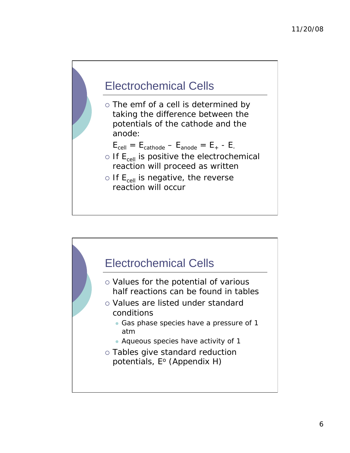

o The emf of a cell is determined by taking the difference between the potentials of the cathode and the anode:

$$
E_{cell} = E_{cathode} - E_{anode} = E_{+} - E_{-}
$$

- $\circ$  If  $\mathsf{E}_{\mathsf{cell}}$  is positive the electrochemical reaction will proceed as written
- $\circ$  If  $\mathsf{E}_{\mathsf{cell}}$  is negative, the reverse reaction will occur

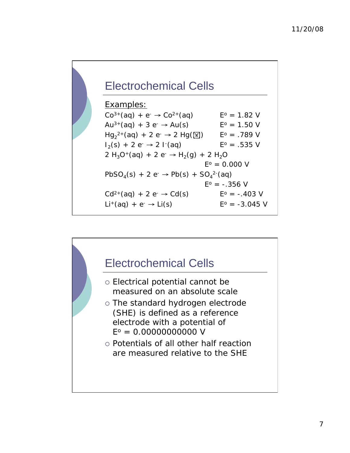# Electrochemical Cells

#### Examples:  $Co^{3+}(aq) + e^- \rightarrow Co^{2+}(aq)$   $E^0 = 1.82$  V Au<sup>3+</sup>(aq) + 3 e<sup>-</sup>  $\rightarrow$  Au(s) E<sup>o</sup> = 1.50 V  $Hg_2^{2+}(aq) + 2 e^- \rightarrow 2 Hg(\sqrt{M})$  E<sup>o</sup> = .789 V  $I_2(s) + 2 e^- \rightarrow 2 I^-(aq)$  E<sup>o</sup> = .535 V 2 H<sub>3</sub>O<sup>+</sup>(aq) + 2 e<sup>-</sup>  $\rightarrow$  H<sub>2</sub>(g) + 2 H<sub>2</sub>O  $E^{\circ} = 0.000 V$  $PbSO_4(s) + 2 e^- \rightarrow Pb(s) + SO_4^{2-}(aq)$  $E^o = -.356$  V  $Cd^{2+}(aq) + 2 e^- \rightarrow Cd(s)$   $E^0 = -.403$  V  $Li^+(aq) + e^- \rightarrow Li(s)$   $E^0 = -3.045$  V

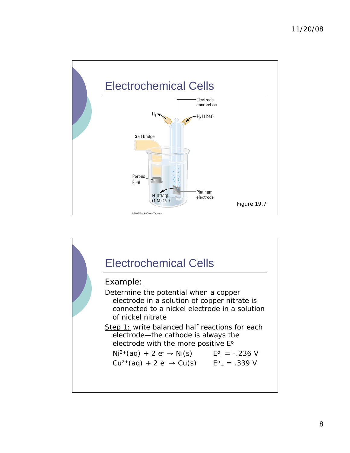

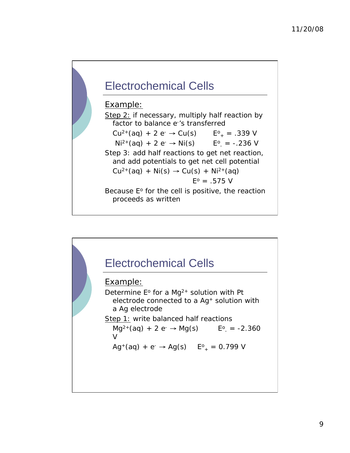# Electrochemical Cells

#### Example:

Step 2: if necessary, multiply half reaction by factor to balance e-'s transferred  $Cu^{2+}(aq) + 2 e^- \rightarrow Cu(s)$  $E^{\circ}$  = .339 V  $Ni^{2+}(aq) + 2 e^- \rightarrow Ni(s)$  $E^{\circ}$  = -.236 V Step 3: add half reactions to get net reaction, and add potentials to get net cell potential  $Cu^{2+}(aq) + Ni(s) \rightarrow Cu(s) + Ni^{2+}(aq)$  $E^{\circ} = .575$  V Because  $E<sup>o</sup>$  for the cell is positive, the reaction proceeds as written

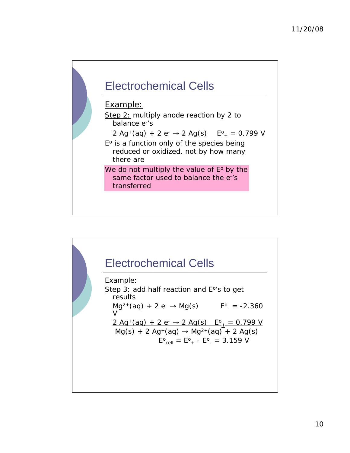

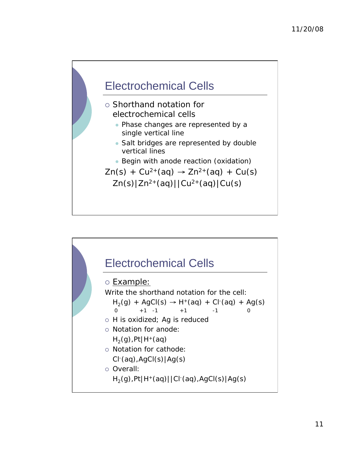

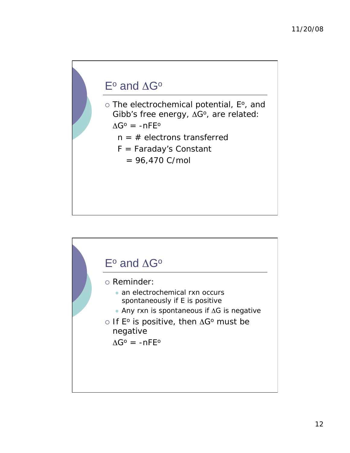## $E^{\circ}$  and  $\Delta G^{\circ}$

o The electrochemical potential, E°, and Gibb's free energy,  $\Delta G^o$ , are related:

 $\Delta G^{\circ}$  = -nFE<sup>o</sup>

- $n = #$  electrons transferred
- F = Faraday's Constant
	- $= 96,470$  C/mol

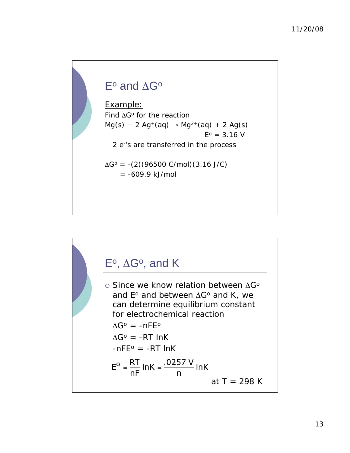# $E^{\circ}$  and  $\Delta G^{\circ}$

Example: Find  $\Delta G^{\circ}$  for the reaction  $Mg(s) + 2 Ag^{+}(aq) \rightarrow Mg^{2+}(aq) + 2 Ag(s)$  $E^{\circ} = 3.16$  V 2 e-'s are transferred in the process  $\Delta G^{\circ}$  = -(2)(96500 C/mol)(3.16 J/C)  $= -609.9$  kJ/mol

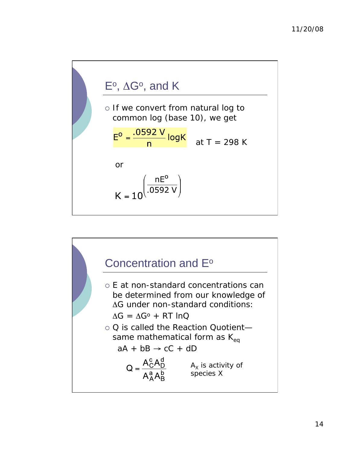

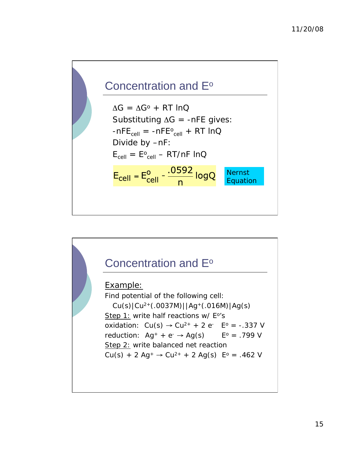

 $AG = AG^{\circ} + RT \ln Q$ Substituting  $\Delta G = -nFE$  gives:  $-nFE<sub>cell</sub> = -nFE<sub>cell</sub> + RT InQ$  Divide by –nF:  $E_{cell} = E_{cell} - RT/nF$  InQ  $E_{cell} = E_{cell}^{0} - \frac{.0592}{n} logQ$ Nernst Equation

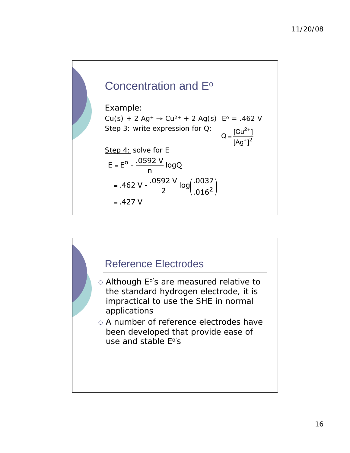

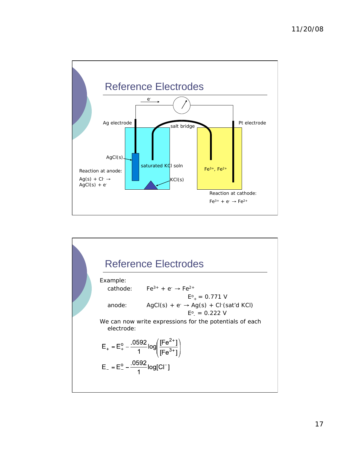

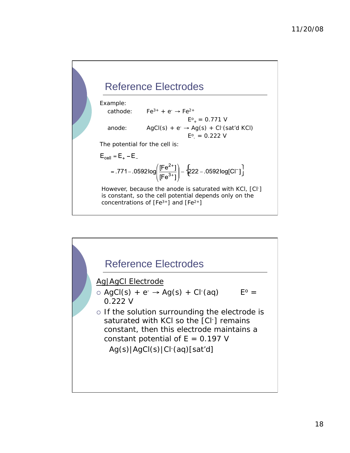## Reference Electrodes

Example:

cathode:  $Fe^{3+} + e^- \rightarrow Fe^{2+}$ 



The potential for the cell is:

$$
\mathsf{E}_{\text{cell}} = \mathsf{E}_{+} - \mathsf{E}
$$

$$
= .771 - .0592 \log \left( \frac{[Fe^{2+}] }{[Fe^{3+}] } \right) - \left\{ 222 - .0592 \log [Cl^-] \right\}
$$

However, because the anode is saturated with KCl, [Cl-] is constant, so the cell potential depends only on the concentrations of  $[Fe^{3+}]$  and  $[Fe^{2+}]$ 

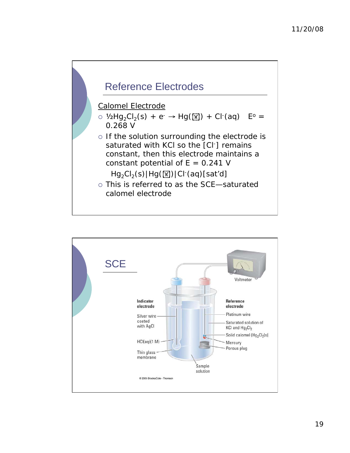

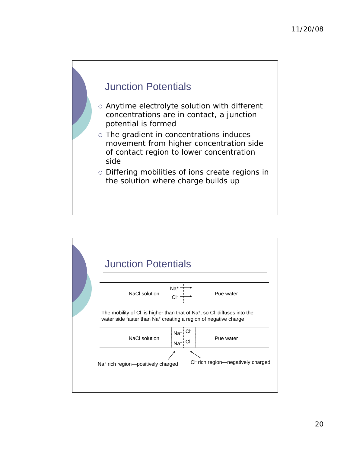

- Anytime electrolyte solution with different concentrations are in contact, a junction potential is formed
- The gradient in concentrations induces movement from higher concentration side of contact region to lower concentration side
- o Differing mobilities of ions create regions in the solution where charge builds up

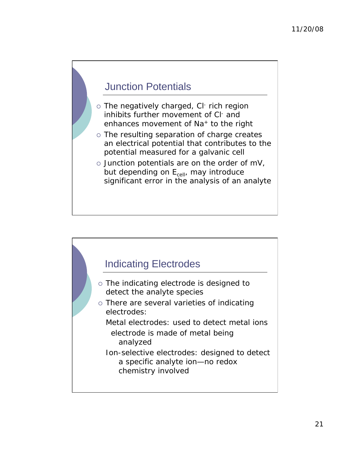### Junction Potentials

- o The negatively charged, CI- rich region inhibits further movement of CI- and enhances movement of Na+ to the right
- The resulting separation of charge creates an electrical potential that contributes to the potential measured for a galvanic cell
- $\circ$  Junction potentials are on the order of mV, but depending on  $E_{cell}$ , may introduce significant error in the analysis of an analyte

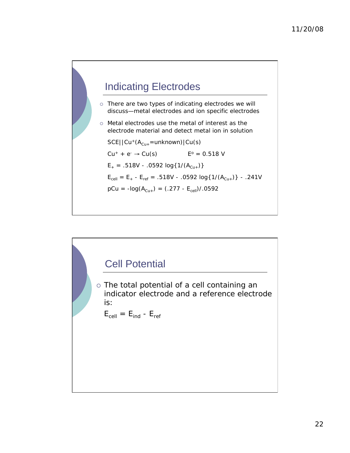

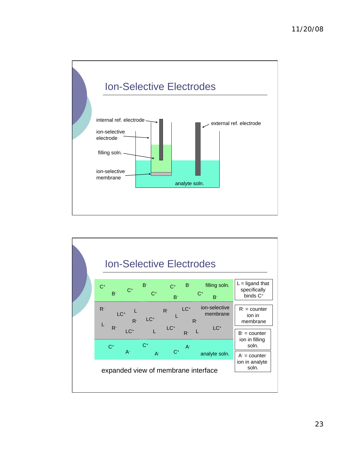

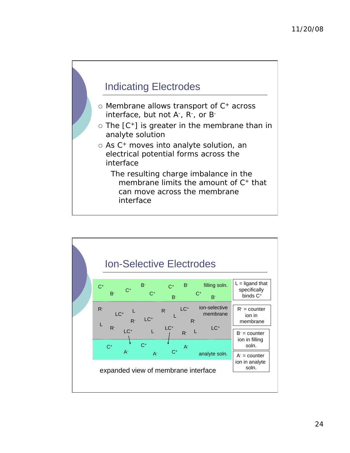

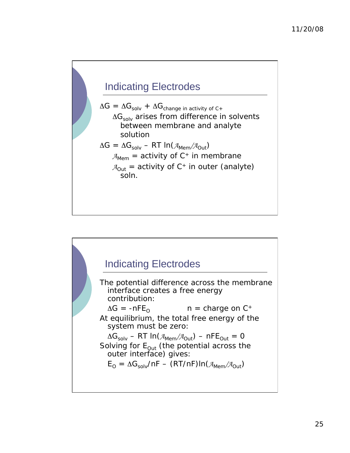